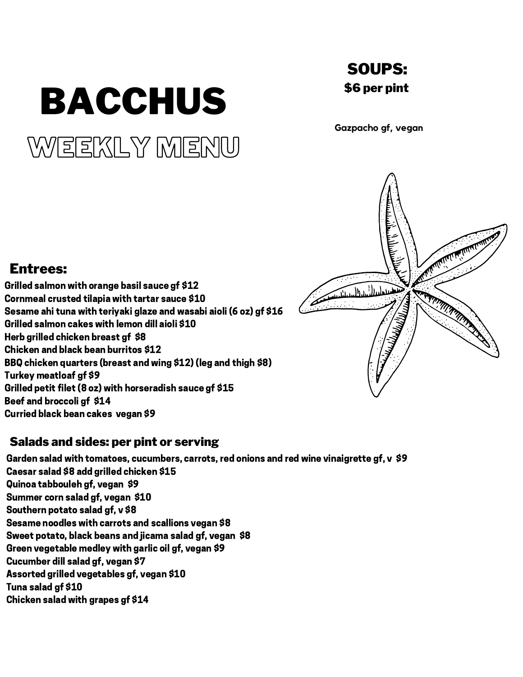# WEEKLY MENU BACCHUS

# SOUPS: \$6 per pint

**Gazpacho gf, vegan**

# Entrees:

Grilled salmon with orange basil sauce gf \$12 Cornmeal crusted tilapia with tartar sauce \$10 Sesame ahi tuna with teriyaki glaze and wasabi aioli (6 oz) gf \$16 Grilled salmon cakes with lemon dill aioli \$10 Herb grilled chicken breast gf \$8 Chicken and black bean burritos \$12 BBQ chicken quarters (breast and wing \$12) (leg and thigh \$8) Turkey meatloaf gf \$9 Grilled petit filet (8 oz) with horseradish sauce gf \$15 Beef and broccoli gf \$14 Curried black bean cakes vegan \$9

# Salads and sides: per pint or serving

Garden salad with tomatoes, cucumbers, carrots, red onions and red wine vinaigrette gf, v \$9 Caesar salad \$8 add grilled chicken \$15 Quinoa tabbouleh gf, vegan \$9 Summer corn salad gf, vegan \$10 Southern potato salad gf, v \$8 Sesame noodles with carrots and scallions vegan \$8 Sweet potato, black beans and jicama salad gf, vegan \$8 Green vegetable medley with garlic oil gf, vegan \$9 Cucumber dill salad gf, vegan \$7 Assorted grilled vegetables gf, vegan \$10 Tuna salad gf \$10 Chicken salad with grapes gf \$14